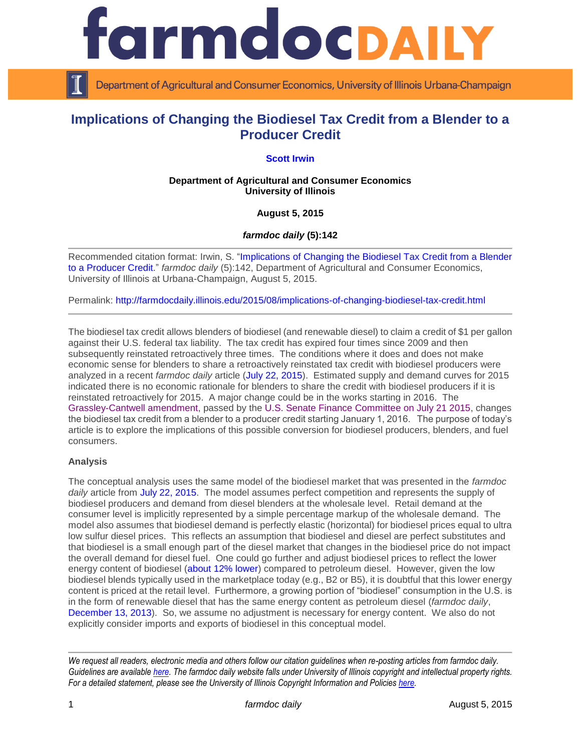

Department of Agricultural and Consumer Economics, University of Illinois Urbana-Champaign

# **Implications of Changing the Biodiesel Tax Credit from a Blender to a Producer Credit**

## **[Scott Irwin](http://www.farmdoc.illinois.edu/irwin/)**

#### **Department of Agricultural and Consumer Economics University of Illinois**

## **August 5, 2015**

#### *farmdoc daily* **(5):142**

Recommended citation format: Irwin, S. ["Implications of Changing the Biodiesel Tax Credit from a Blender](http://farmdocdaily.illinois.edu/2015/08/implications-of-changing-biodiesel-tax-credit.html)  [to a Producer Credit.](http://farmdocdaily.illinois.edu/2015/08/implications-of-changing-biodiesel-tax-credit.html)" *farmdoc daily* (5):142, Department of Agricultural and Consumer Economics, University of Illinois at Urbana-Champaign, August 5, 2015.

Permalink: <http://farmdocdaily.illinois.edu/2015/08/implications-of-changing-biodiesel-tax-credit.html>

The biodiesel tax credit allows blenders of biodiesel (and renewable diesel) to claim a credit of \$1 per gallon against their U.S. federal tax liability. The tax credit has expired four times since 2009 and then subsequently reinstated retroactively three times. The conditions where it does and does not make economic sense for blenders to share a retroactively reinstated tax credit with biodiesel producers were analyzed in a recent *farmdoc daily* article [\(July 22, 2015\)](http://farmdocdaily.illinois.edu/2015/07/why-blenders-share-retroactively-reinstated-tax.html). Estimated supply and demand curves for 2015 indicated there is no economic rationale for blenders to share the credit with biodiesel producers if it is reinstated retroactively for 2015. A major change could be in the works starting in 2016. The [Grassley-Cantwell amendment,](http://www.finance.senate.gov/imo/media/doc/Master%20Extender%20Amendments.pdf) passed by the [U.S. Senate Finance Committee on July 21 2015,](http://www.finance.senate.gov/imo/media/doc/Results%20of%20Executive%20Session.07.21.2015.pdf) changes the biodiesel tax credit from a blender to a producer credit starting January 1, 2016. The purpose of today's article is to explore the implications of this possible conversion for biodiesel producers, blenders, and fuel consumers.

#### **Analysis**

The conceptual analysis uses the same model of the biodiesel market that was presented in the *farmdoc daily* article from [July 22, 2015.](http://farmdocdaily.illinois.edu/2015/07/why-blenders-share-retroactively-reinstated-tax.html) The model assumes perfect competition and represents the supply of biodiesel producers and demand from diesel blenders at the wholesale level. Retail demand at the consumer level is implicitly represented by a simple percentage markup of the wholesale demand. The model also assumes that biodiesel demand is perfectly elastic (horizontal) for biodiesel prices equal to ultra low sulfur diesel prices. This reflects an assumption that biodiesel and diesel are perfect substitutes and that biodiesel is a small enough part of the diesel market that changes in the biodiesel price do not impact the overall demand for diesel fuel. One could go further and adjust biodiesel prices to reflect the lower energy content of biodiesel [\(about 12% lower\)](http://en.wikipedia.org/wiki/Energy_content_of_biofuel) compared to petroleum diesel. However, given the low biodiesel blends typically used in the marketplace today (e.g., B2 or B5), it is doubtful that this lower energy content is priced at the retail level. Furthermore, a growing portion of "biodiesel" consumption in the U.S. is in the form of renewable diesel that has the same energy content as petroleum diesel (*farmdoc daily*, [December 13, 2013\)](http://farmdocdaily.illinois.edu/2013/12/Estimating-Biomass-Based-Diesel-Supply-Curve.html). So, we assume no adjustment is necessary for energy content. We also do not explicitly consider imports and exports of biodiesel in this conceptual model.

*We request all readers, electronic media and others follow our citation guidelines when re-posting articles from farmdoc daily. Guidelines are available [here.](http://farmdocdaily.illinois.edu/citationguide.html) The farmdoc daily website falls under University of Illinois copyright and intellectual property rights. For a detailed statement, please see the University of Illinois Copyright Information and Policies [here.](http://www.cio.illinois.edu/policies/copyright/)*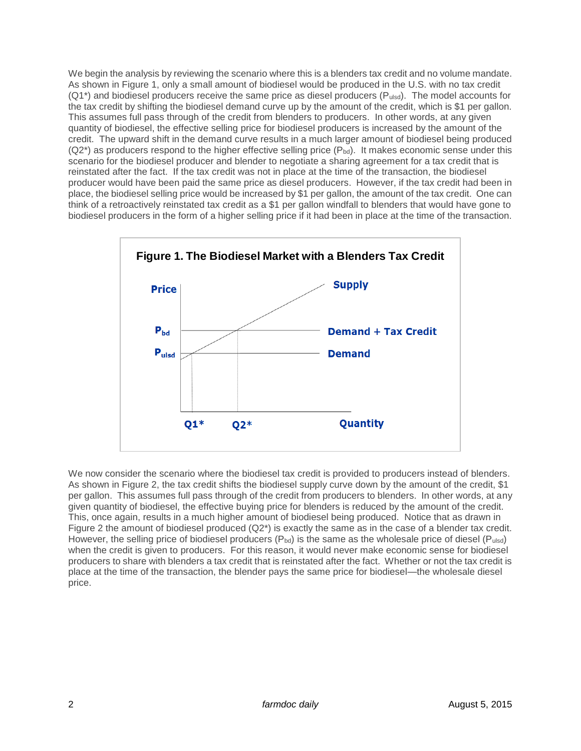We begin the analysis by reviewing the scenario where this is a blenders tax credit and no volume mandate. As shown in Figure 1, only a small amount of biodiesel would be produced in the U.S. with no tax credit (Q1<sup>\*</sup>) and biodiesel producers receive the same price as diesel producers (Pulsd). The model accounts for the tax credit by shifting the biodiesel demand curve up by the amount of the credit, which is \$1 per gallon. This assumes full pass through of the credit from blenders to producers. In other words, at any given quantity of biodiesel, the effective selling price for biodiesel producers is increased by the amount of the credit. The upward shift in the demand curve results in a much larger amount of biodiesel being produced  $(Q2<sup>*</sup>)$  as producers respond to the higher effective selling price  $(P_{bd})$ . It makes economic sense under this scenario for the biodiesel producer and blender to negotiate a sharing agreement for a tax credit that is reinstated after the fact. If the tax credit was not in place at the time of the transaction, the biodiesel producer would have been paid the same price as diesel producers. However, if the tax credit had been in place, the biodiesel selling price would be increased by \$1 per gallon, the amount of the tax credit. One can think of a retroactively reinstated tax credit as a \$1 per gallon windfall to blenders that would have gone to biodiesel producers in the form of a higher selling price if it had been in place at the time of the transaction.



We now consider the scenario where the biodiesel tax credit is provided to producers instead of blenders. As shown in Figure 2, the tax credit shifts the biodiesel supply curve down by the amount of the credit, \$1 per gallon. This assumes full pass through of the credit from producers to blenders. In other words, at any given quantity of biodiesel, the effective buying price for blenders is reduced by the amount of the credit. This, once again, results in a much higher amount of biodiesel being produced. Notice that as drawn in Figure 2 the amount of biodiesel produced  $(Q2^*)$  is exactly the same as in the case of a blender tax credit. However, the selling price of biodiesel producers  $(P_{bd})$  is the same as the wholesale price of diesel  $(P_{uds})$ when the credit is given to producers. For this reason, it would never make economic sense for biodiesel producers to share with blenders a tax credit that is reinstated after the fact. Whether or not the tax credit is place at the time of the transaction, the blender pays the same price for biodiesel—the wholesale diesel price.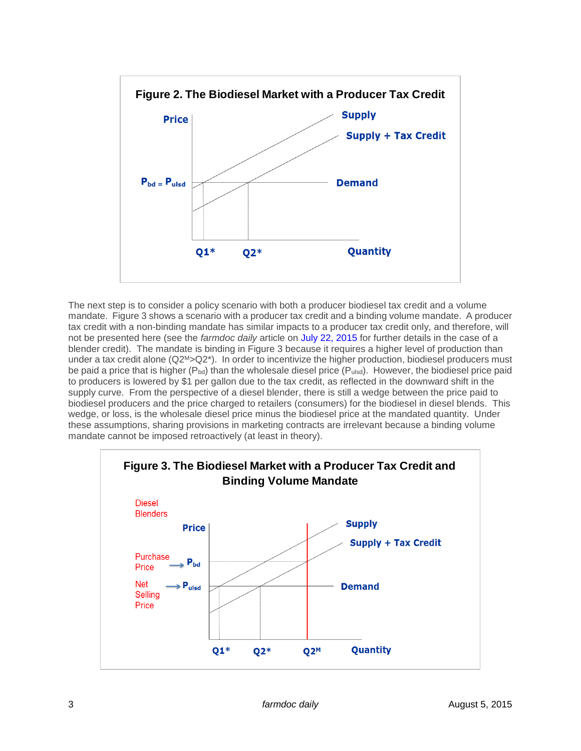

The next step is to consider a policy scenario with both a producer biodiesel tax credit and a volume mandate. Figure 3 shows a scenario with a producer tax credit and a binding volume mandate. A producer tax credit with a non-binding mandate has similar impacts to a producer tax credit only, and therefore, will not be presented here (see the *farmdoc daily* article on [July 22, 2015](http://farmdocdaily.illinois.edu/2015/07/why-blenders-share-retroactively-reinstated-tax.html) for further details in the case of a blender credit). The mandate is binding in Figure 3 because it requires a higher level of production than under a tax credit alone (Q2<sup>M</sup>>Q2<sup>\*</sup>). In order to incentivize the higher production, biodiesel producers must be paid a price that is higher ( $P_{bd}$ ) than the wholesale diesel price ( $P_{ulsd}$ ). However, the biodiesel price paid to producers is lowered by \$1 per gallon due to the tax credit, as reflected in the downward shift in the supply curve. From the perspective of a diesel blender, there is still a wedge between the price paid to biodiesel producers and the price charged to retailers (consumers) for the biodiesel in diesel blends. This wedge, or loss, is the wholesale diesel price minus the biodiesel price at the mandated quantity. Under these assumptions, sharing provisions in marketing contracts are irrelevant because a binding volume mandate cannot be imposed retroactively (at least in theory).

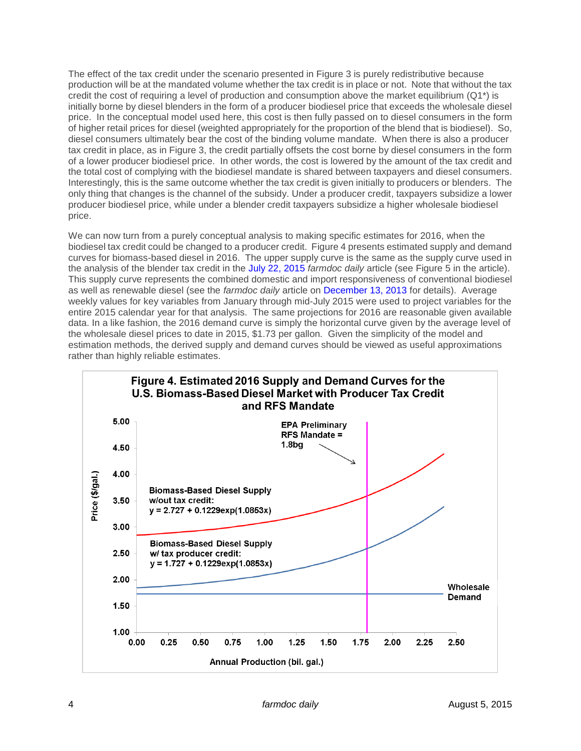The effect of the tax credit under the scenario presented in Figure 3 is purely redistributive because production will be at the mandated volume whether the tax credit is in place or not. Note that without the tax credit the cost of requiring a level of production and consumption above the market equilibrium  $(Q1^*)$  is initially borne by diesel blenders in the form of a producer biodiesel price that exceeds the wholesale diesel price. In the conceptual model used here, this cost is then fully passed on to diesel consumers in the form of higher retail prices for diesel (weighted appropriately for the proportion of the blend that is biodiesel). So, diesel consumers ultimately bear the cost of the binding volume mandate. When there is also a producer tax credit in place, as in Figure 3, the credit partially offsets the cost borne by diesel consumers in the form of a lower producer biodiesel price. In other words, the cost is lowered by the amount of the tax credit and the total cost of complying with the biodiesel mandate is shared between taxpayers and diesel consumers. Interestingly, this is the same outcome whether the tax credit is given initially to producers or blenders. The only thing that changes is the channel of the subsidy. Under a producer credit, taxpayers subsidize a lower producer biodiesel price, while under a blender credit taxpayers subsidize a higher wholesale biodiesel price.

We can now turn from a purely conceptual analysis to making specific estimates for 2016, when the biodiesel tax credit could be changed to a producer credit. Figure 4 presents estimated supply and demand curves for biomass-based diesel in 2016. The upper supply curve is the same as the supply curve used in the analysis of the blender tax credit in the [July 22, 2015](http://farmdocdaily.illinois.edu/2015/07/why-blenders-share-retroactively-reinstated-tax.html) *farmdoc daily* article (see Figure 5 in the article). This supply curve represents the combined domestic and import responsiveness of conventional biodiesel as well as renewable diesel (see the *farmdoc daily* article on [December 13, 2013](http://farmdocdaily.illinois.edu/2013/12/Estimating-Biomass-Based-Diesel-Supply-Curve.html) for details). Average weekly values for key variables from January through mid-July 2015 were used to project variables for the entire 2015 calendar year for that analysis. The same projections for 2016 are reasonable given available data. In a like fashion, the 2016 demand curve is simply the horizontal curve given by the average level of the wholesale diesel prices to date in 2015, \$1.73 per gallon. Given the simplicity of the model and estimation methods, the derived supply and demand curves should be viewed as useful approximations rather than highly reliable estimates.

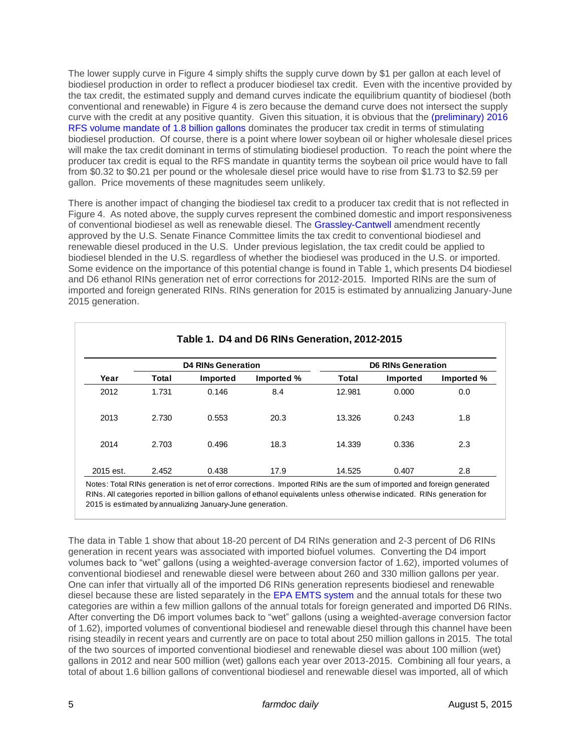The lower supply curve in Figure 4 simply shifts the supply curve down by \$1 per gallon at each level of biodiesel production in order to reflect a producer biodiesel tax credit. Even with the incentive provided by the tax credit, the estimated supply and demand curves indicate the equilibrium quantity of biodiesel (both conventional and renewable) in Figure 4 is zero because the demand curve does not intersect the supply curve with the credit at any positive quantity. Given this situation, it is obvious that the [\(preliminary\) 2016](http://www.gpo.gov/fdsys/pkg/FR-2015-06-10/pdf/2015-13956.pdf)  [RFS volume mandate of 1.8 billion gallons](http://www.gpo.gov/fdsys/pkg/FR-2015-06-10/pdf/2015-13956.pdf) dominates the producer tax credit in terms of stimulating biodiesel production. Of course, there is a point where lower soybean oil or higher wholesale diesel prices will make the tax credit dominant in terms of stimulating biodiesel production. To reach the point where the producer tax credit is equal to the RFS mandate in quantity terms the soybean oil price would have to fall from \$0.32 to \$0.21 per pound or the wholesale diesel price would have to rise from \$1.73 to \$2.59 per gallon. Price movements of these magnitudes seem unlikely.

There is another impact of changing the biodiesel tax credit to a producer tax credit that is not reflected in Figure 4. As noted above, the supply curves represent the combined domestic and import responsiveness of conventional biodiesel as well as renewable diesel. The [Grassley-Cantwell](http://www.finance.senate.gov/imo/media/doc/Master%20Extender%20Amendments.pdf) amendment recently approved by the U.S. Senate Finance Committee limits the tax credit to conventional biodiesel and renewable diesel produced in the U.S. Under previous legislation, the tax credit could be applied to biodiesel blended in the U.S. regardless of whether the biodiesel was produced in the U.S. or imported. Some evidence on the importance of this potential change is found in Table 1, which presents D4 biodiesel and D6 ethanol RINs generation net of error corrections for 2012-2015. Imported RINs are the sum of imported and foreign generated RINs. RINs generation for 2015 is estimated by annualizing January-June 2015 generation.

| Year | <b>D4 RINs Generation</b> |                 |            | <b>D6 RINs Generation</b> |          |            |
|------|---------------------------|-----------------|------------|---------------------------|----------|------------|
|      | Total                     | <b>Imported</b> | Imported % | Total                     | Imported | Imported % |
| 2012 | 1.731                     | 0.146           | 8.4        | 12.981                    | 0.000    | 0.0        |
| 2013 | 2.730                     | 0.553           | 20.3       | 13.326                    | 0.243    | 1.8        |
| 2014 | 2.703                     | 0.496           | 18.3       | 14.339                    | 0.336    | 2.3        |

Notes: Total RINs generation is net of error corrections. Imported RINs are the sum of imported and foreign generated RINs. All categories reported in billion gallons of ethanol equivalents unless otherwise indicated. RINs generation for 2015 is estimated by annualizing January-June generation.

The data in Table 1 show that about 18-20 percent of D4 RINs generation and 2-3 percent of D6 RINs generation in recent years was associated with imported biofuel volumes. Converting the D4 import volumes back to "wet" gallons (using a weighted-average conversion factor of 1.62), imported volumes of conventional biodiesel and renewable diesel were between about 260 and 330 million gallons per year. One can infer that virtually all of the imported D6 RINs generation represents biodiesel and renewable diesel because these are listed separately in the [EPA EMTS system](http://www.epa.gov/otaq/fuels/rfsdata/) and the annual totals for these two categories are within a few million gallons of the annual totals for foreign generated and imported D6 RINs. After converting the D6 import volumes back to "wet" gallons (using a weighted-average conversion factor of 1.62), imported volumes of conventional biodiesel and renewable diesel through this channel have been rising steadily in recent years and currently are on pace to total about 250 million gallons in 2015. The total of the two sources of imported conventional biodiesel and renewable diesel was about 100 million (wet) gallons in 2012 and near 500 million (wet) gallons each year over 2013-2015. Combining all four years, a total of about 1.6 billion gallons of conventional biodiesel and renewable diesel was imported, all of which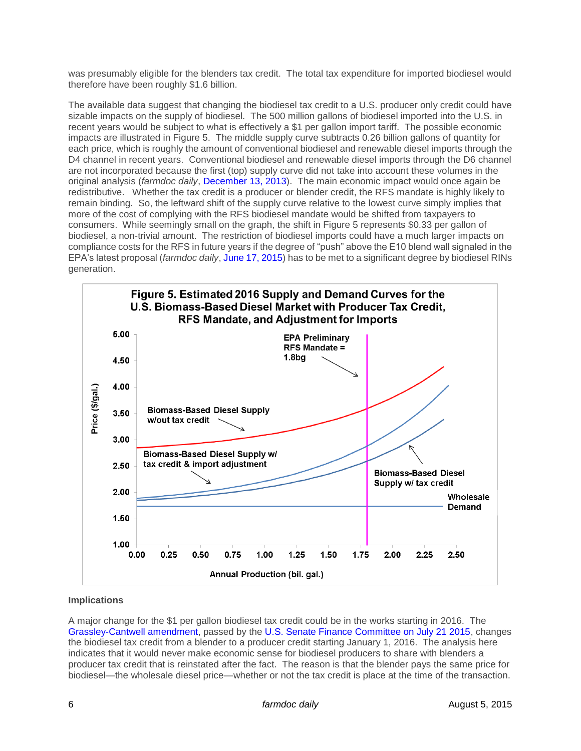was presumably eligible for the blenders tax credit. The total tax expenditure for imported biodiesel would therefore have been roughly \$1.6 billion.

The available data suggest that changing the biodiesel tax credit to a U.S. producer only credit could have sizable impacts on the supply of biodiesel. The 500 million gallons of biodiesel imported into the U.S. in recent years would be subject to what is effectively a \$1 per gallon import tariff. The possible economic impacts are illustrated in Figure 5. The middle supply curve subtracts 0.26 billion gallons of quantity for each price, which is roughly the amount of conventional biodiesel and renewable diesel imports through the D4 channel in recent years. Conventional biodiesel and renewable diesel imports through the D6 channel are not incorporated because the first (top) supply curve did not take into account these volumes in the original analysis (*farmdoc daily*, [December 13, 2013\)](http://farmdocdaily.illinois.edu/2013/12/Estimating-Biomass-Based-Diesel-Supply-Curve.html). The main economic impact would once again be redistributive. Whether the tax credit is a producer or blender credit, the RFS mandate is highly likely to remain binding. So, the leftward shift of the supply curve relative to the lowest curve simply implies that more of the cost of complying with the RFS biodiesel mandate would be shifted from taxpayers to consumers. While seemingly small on the graph, the shift in Figure 5 represents \$0.33 per gallon of biodiesel, a non-trivial amount. The restriction of biodiesel imports could have a much larger impacts on compliance costs for the RFS in future years if the degree of "push" above the E10 blend wall signaled in the EPA's latest proposal (*farmdoc daily*[, June 17, 2015\)](http://farmdocdaily.illinois.edu/2015/06/implementing-rfs-with-push-strategy.html) has to be met to a significant degree by biodiesel RINs generation.



## **Implications**

A major change for the \$1 per gallon biodiesel tax credit could be in the works starting in 2016. The [Grassley-Cantwell amendment,](http://www.finance.senate.gov/imo/media/doc/Master%20Extender%20Amendments.pdf) passed by the [U.S. Senate Finance Committee on July 21 2015,](http://www.finance.senate.gov/imo/media/doc/Results%20of%20Executive%20Session.07.21.2015.pdf) changes the biodiesel tax credit from a blender to a producer credit starting January 1, 2016. The analysis here indicates that it would never make economic sense for biodiesel producers to share with blenders a producer tax credit that is reinstated after the fact. The reason is that the blender pays the same price for biodiesel—the wholesale diesel price—whether or not the tax credit is place at the time of the transaction.